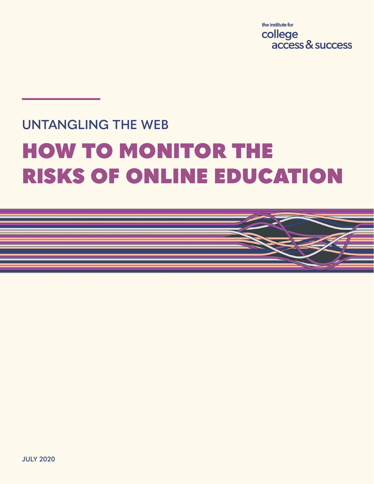the institute for college access & success

## **UNTANGLING THE WEB** HOW TO MONITOR THE RISKS OF ONLINE EDUCATION

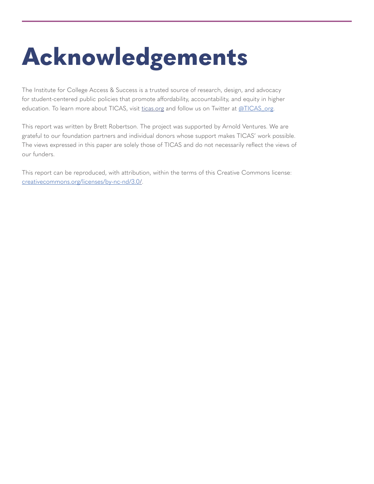# **Acknowledgements**

The Institute for College Access & Success is a trusted source of research, design, and advocacy for student-centered public policies that promote affordability, accountability, and equity in higher education. To learn more about TICAS, visit ticas.org and follow us on Twitter at @TICAS\_org.

This report was written by Brett Robertson. The project was supported by Arnold Ventures. We are grateful to our foundation partners and individual donors whose support makes TICAS' work possible. The views expressed in this paper are solely those of TICAS and do not necessarily reflect the views of our funders.

This report can be reproduced, with attribution, within the terms of this Creative Commons license: creativecommons.org/licenses/by-nc-nd/3.0/.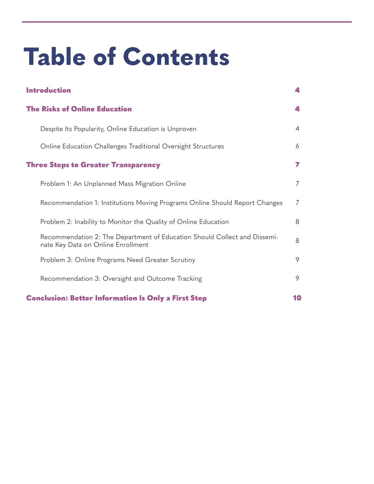# **Table of Contents**

| <b>Introduction</b>                                                                                             | 4              |
|-----------------------------------------------------------------------------------------------------------------|----------------|
| <b>The Risks of Online Education</b>                                                                            | 4              |
| Despite Its Popularity, Online Education is Unproven                                                            | $\overline{4}$ |
| Online Education Challenges Traditional Oversight Structures                                                    | 6              |
| <b>Three Steps to Greater Transparency</b>                                                                      | 7              |
| Problem 1: An Unplanned Mass Migration Online                                                                   | 7              |
| Recommendation 1: Institutions Moving Programs Online Should Report Changes                                     | $\overline{7}$ |
| Problem 2: Inability to Monitor the Quality of Online Education                                                 | 8              |
| Recommendation 2: The Department of Education Should Collect and Dissemi-<br>nate Key Data on Online Enrollment | 8              |
| Problem 3: Online Programs Need Greater Scrutiny                                                                | 9              |
| Recommendation 3: Oversight and Outcome Tracking                                                                | 9              |
| <b>Conclusion: Better Information Is Only a First Step</b>                                                      | 10             |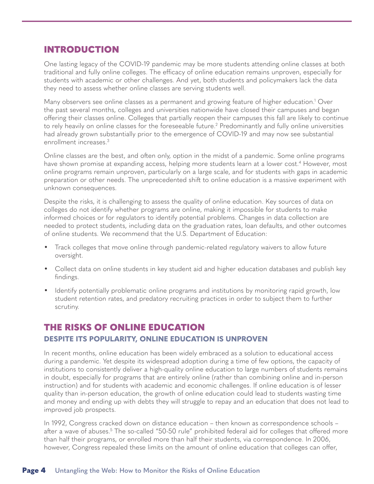### INTRODUCTION

One lasting legacy of the COVID-19 pandemic may be more students attending online classes at both traditional and fully online colleges. The efficacy of online education remains unproven, especially for students with academic or other challenges. And yet, both students and policymakers lack the data they need to assess whether online classes are serving students well.

Many observers see online classes as a permanent and growing feature of higher education.<sup>1</sup> Over the past several months, colleges and universities nationwide have closed their campuses and began offering their classes online. Colleges that partially reopen their campuses this fall are likely to continue to rely heavily on online classes for the foreseeable future.2 Predominantly and fully online universities had already grown substantially prior to the emergence of COVID-19 and may now see substantial enrollment increases.3

Online classes are the best, and often only, option in the midst of a pandemic. Some online programs have shown promise at expanding access, helping more students learn at a lower cost.<sup>4</sup> However, most online programs remain unproven, particularly on a large scale, and for students with gaps in academic preparation or other needs. The unprecedented shift to online education is a massive experiment with unknown consequences.

Despite the risks, it is challenging to assess the quality of online education. Key sources of data on colleges do not identify whether programs are online, making it impossible for students to make informed choices or for regulators to identify potential problems. Changes in data collection are needed to protect students, including data on the graduation rates, loan defaults, and other outcomes of online students. We recommend that the U.S. Department of Education:

- Track colleges that move online through pandemic-related regulatory waivers to allow future oversight.
- Collect data on online students in key student aid and higher education databases and publish key findings.
- Identify potentially problematic online programs and institutions by monitoring rapid growth, low student retention rates, and predatory recruiting practices in order to subject them to further scrutiny.

### THE RISKS OF ONLINE EDUCATION

#### **DESPITE ITS POPULARITY, ONLINE EDUCATION IS UNPROVEN**

In recent months, online education has been widely embraced as a solution to educational access during a pandemic. Yet despite its widespread adoption during a time of few options, the capacity of institutions to consistently deliver a high-quality online education to large numbers of students remains in doubt, especially for programs that are entirely online (rather than combining online and in-person instruction) and for students with academic and economic challenges. If online education is of lesser quality than in-person education, the growth of online education could lead to students wasting time and money and ending up with debts they will struggle to repay and an education that does not lead to improved job prospects.

In 1992, Congress cracked down on distance education – then known as correspondence schools – after a wave of abuses.<sup>5</sup> The so-called "50-50 rule" prohibited federal aid for colleges that offered more than half their programs, or enrolled more than half their students, via correspondence. In 2006, however, Congress repealed these limits on the amount of online education that colleges can offer,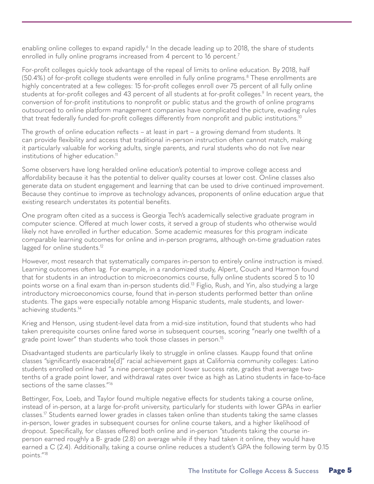enabling online colleges to expand rapidly.<sup>6</sup> In the decade leading up to 2018, the share of students enrolled in fully online programs increased from 4 percent to 16 percent.<sup>7</sup>

For-profit colleges quickly took advantage of the repeal of limits to online education. By 2018, half (50.4%) of for-profit college students were enrolled in fully online programs.8 These enrollments are highly concentrated at a few colleges: 15 for-profit colleges enroll over 75 percent of all fully online students at for-profit colleges and 43 percent of all students at for-profit colleges.<sup>9</sup> In recent years, the conversion of for-profit institutions to nonprofit or public status and the growth of online programs outsourced to online platform management companies have complicated the picture, evading rules that treat federally funded for-profit colleges differently from nonprofit and public institutions.<sup>10</sup>

The growth of online education reflects – at least in part – a growing demand from students. It can provide flexibility and access that traditional in-person instruction often cannot match, making it particularly valuable for working adults, single parents, and rural students who do not live near institutions of higher education.<sup>11</sup>

Some observers have long heralded online education's potential to improve college access and affordability because it has the potential to deliver quality courses at lower cost. Online classes also generate data on student engagement and learning that can be used to drive continued improvement. Because they continue to improve as technology advances, proponents of online education argue that existing research understates its potential benefits.

One program often cited as a success is Georgia Tech's academically selective graduate program in computer science. Offered at much lower costs, it served a group of students who otherwise would likely not have enrolled in further education. Some academic measures for this program indicate comparable learning outcomes for online and in-person programs, although on-time graduation rates lagged for online students.<sup>12</sup>

However, most research that systematically compares in-person to entirely online instruction is mixed. Learning outcomes often lag. For example, in a randomized study, Alpert, Couch and Harmon found that for students in an introduction to microeconomics course, fully online students scored 5 to 10 points worse on a final exam than in-person students did.13 Figlio, Rush, and Yin, also studying a large introductory microeconomics course, found that in-person students performed better than online students. The gaps were especially notable among Hispanic students, male students, and lowerachieving students.14

Krieg and Henson, using student-level data from a mid-size institution, found that students who had taken prerequisite courses online fared worse in subsequent courses, scoring "nearly one twelfth of a grade point lower" than students who took those classes in person.15

Disadvantaged students are particularly likely to struggle in online classes. Kaupp found that online classes "significantly exacerabte[d]" racial achievement gaps at California community colleges: Latino students enrolled online had "a nine percentage point lower success rate, grades that average twotenths of a grade point lower, and withdrawal rates over twice as high as Latino students in face-to-face sections of the same classes."<sup>16</sup>

Bettinger, Fox, Loeb, and Taylor found multiple negative effects for students taking a course online, instead of in-person, at a large for-profit university, particularly for students with lower GPAs in earlier classes.17 Students earned lower grades in classes taken online than students taking the same classes in-person, lower grades in subsequent courses for online course takers, and a higher likelihood of dropout. Specifically, for classes offered both online and in-person "students taking the course inperson earned roughly a B- grade (2.8) on average while if they had taken it online, they would have earned a C (2.4). Additionally, taking a course online reduces a student's GPA the following term by 0.15 points."18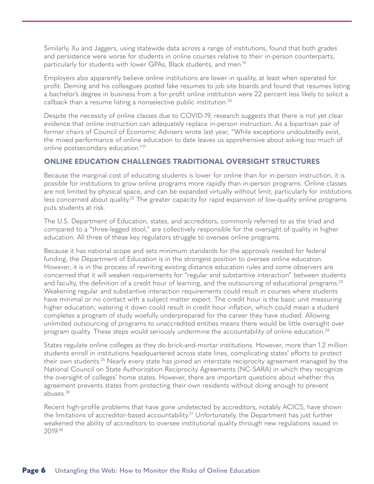Similarly, Xu and Jaggers, using statewide data across a range of institutions, found that both grades and persistence were worse for students in online courses relative to their in-person counterparts, particularly for students with lower GPAs, Black students, and men.<sup>19</sup>

Employers also apparently believe online institutions are lower in quality, at least when operated for profit. Deming and his colleagues posted fake resumes to job site boards and found that resumes listing a bachelor's degree in business from a for-profit online institution were 22 percent less likely to solicit a callback than a resume listing a nonselective public institution.20

Despite the necessity of online classes due to COVID-19, research suggests that there is not yet clear evidence that online instruction can adequately replace in-person instruction. As a bipartisan pair of former chairs of Council of Economic Advisers wrote last year, "While exceptions undoubtedly exist, the mixed performance of online education to date leaves us apprehensive about asking too much of online postsecondary education."21

#### **ONLINE EDUCATION CHALLENGES TRADITIONAL OVERSIGHT STRUCTURES**

Because the marginal cost of educating students is lower for online than for in-person instruction, it is possible for institutions to grow online programs more rapidly than in-person programs. Online classes are not limited by physical space, and can be expanded virtually without limit, particularly for institutions less concerned about quality.<sup>22</sup> The greater capacity for rapid expansion of low-quality online programs puts students at risk.

The U.S. Department of Education, states, and accreditors, commonly referred to as the triad and compared to a "three-legged stool," are collectively responsible for the oversight of quality in higher education. All three of these key regulators struggle to oversee online programs.

Because it has national scope and sets minimum standards for the approvals needed for federal funding, the Department of Education is in the strongest position to oversee online education. However, it is in the process of rewriting existing distance education rules and some observers are concerned that it will weaken requirements for "regular and substantive interaction" between students and faculty, the definition of a credit hour of learning, and the outsourcing of educational programs.<sup>23</sup> Weakening regular and substantive interaction requirements could result in courses where students have minimal or no contact with a subject matter expert. The credit hour is the basic unit measuring higher education; watering it down could result in credit hour inflation, which could mean a student completes a program of study woefully underprepared for the career they have studied. Allowing unlimited outsourcing of programs to unaccredited entities means there would be little oversight over program quality. These steps would seriously undermine the accountability of online education.24

States regulate online colleges as they do brick-and-mortar institutions. However, more than 1.2 million students enroll in institutions headquartered across state lines, complicating states' efforts to protect their own students.25 Nearly every state has joined an interstate reciprocity agreement managed by the National Council on State Authorization Reciprocity Agreements (NC-SARA) in which they recognize the oversight of colleges' home states. However, there are important questions about whether this agreement prevents states from protecting their own residents without doing enough to prevent abuses.26

Recent high-profile problems that have gone undetected by accreditors, notably ACICS, have shown the limitations of accreditor-based accountability.<sup>27</sup> Unfortunately, the Department has just further weakened the ability of accreditors to oversee institutional quality through new regulations issued in 2019.28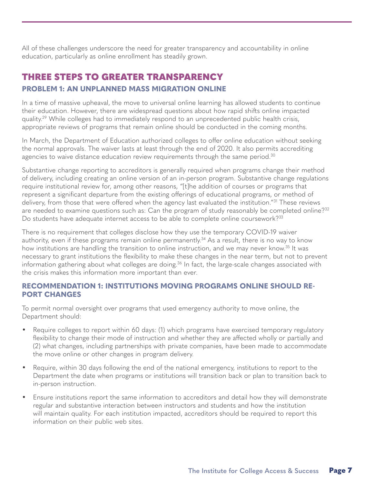All of these challenges underscore the need for greater transparency and accountability in online education, particularly as online enrollment has steadily grown.

#### THREE STEPS TO GREATER TRANSPARENCY **PROBLEM 1: AN UNPLANNED MASS MIGRATION ONLINE**

In a time of massive upheaval, the move to universal online learning has allowed students to continue their education. However, there are widespread questions about how rapid shifts online impacted quality.29 While colleges had to immediately respond to an unprecedented public health crisis, appropriate reviews of programs that remain online should be conducted in the coming months.

In March, the Department of Education authorized colleges to offer online education without seeking the normal approvals. The waiver lasts at least through the end of 2020. It also permits accrediting agencies to waive distance education review requirements through the same period. $30$ 

Substantive change reporting to accreditors is generally required when programs change their method of delivery, including creating an online version of an in-person program. Substantive change regulations require institutional review for, among other reasons, "[t]he addition of courses or programs that represent a significant departure from the existing offerings of educational programs, or method of delivery, from those that were offered when the agency last evaluated the institution."<sup>31</sup> These reviews are needed to examine questions such as: Can the program of study reasonably be completed online?<sup>32</sup> Do students have adequate internet access to be able to complete online coursework?<sup>33</sup>

There is no requirement that colleges disclose how they use the temporary COVID-19 waiver authority, even if these programs remain online permanently.<sup>34</sup> As a result, there is no way to know how institutions are handling the transition to online instruction, and we may never know.<sup>35</sup> It was necessary to grant institutions the flexibility to make these changes in the near term, but not to prevent information gathering about what colleges are doing.<sup>36</sup> In fact, the large-scale changes associated with the crisis makes this information more important than ever.

#### **RECOMMENDATION 1: INSTITUTIONS MOVING PROGRAMS ONLINE SHOULD RE-PORT CHANGES**

To permit normal oversight over programs that used emergency authority to move online, the Department should:

- Require colleges to report within 60 days: (1) which programs have exercised temporary regulatory flexibility to change their mode of instruction and whether they are affected wholly or partially and (2) what changes, including partnerships with private companies, have been made to accommodate the move online or other changes in program delivery.
- Require, within 30 days following the end of the national emergency, institutions to report to the Department the date when programs or institutions will transition back or plan to transition back to in-person instruction.
- Ensure institutions report the same information to accreditors and detail how they will demonstrate regular and substantive interaction between instructors and students and how the institution will maintain quality. For each institution impacted, accreditors should be required to report this information on their public web sites.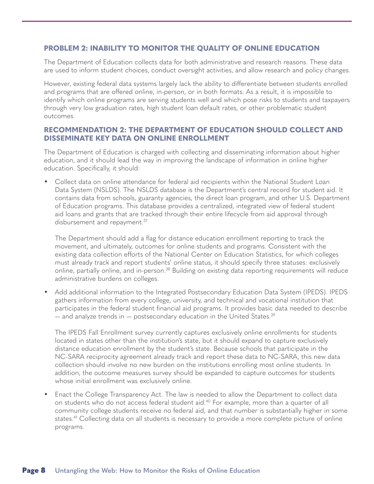#### **PROBLEM 2: INABILITY TO MONITOR THE QUALITY OF ONLINE EDUCATION**

The Department of Education collects data for both administrative and research reasons. These data are used to inform student choices, conduct oversight activities, and allow research and policy changes.

However, existing federal data systems largely lack the ability to differentiate between students enrolled and programs that are offered online, in-person, or in both formats. As a result, it is impossible to identify which online programs are serving students well and which pose risks to students and taxpayers through very low graduation rates, high student loan default rates, or other problematic student outcomes.

#### **RECOMMENDATION 2: THE DEPARTMENT OF EDUCATION SHOULD COLLECT AND DISSEMINATE KEY DATA ON ONLINE ENROLLMENT**

The Department of Education is charged with collecting and disseminating information about higher education, and it should lead the way in improving the landscape of information in online higher education. Specifically, it should:

• Collect data on online attendance for federal aid recipients within the National Student Loan Data System (NSLDS). The NSLDS database is the Department's central record for student aid. It contains data from schools, guaranty agencies, the direct loan program, and other U.S. Department of Education programs. This database provides a centralized, integrated view of federal student aid loans and grants that are tracked through their entire lifecycle from aid approval through disbursement and repayment.<sup>37</sup>

The Department should add a flag for distance education enrollment reporting to track the movement, and ultimately, outcomes for online students and programs. Consistent with the existing data collection efforts of the National Center on Education Statistics, for which colleges must already track and report students' online status, it should specify three statuses: exclusively online, partially online, and in-person.<sup>38</sup> Building on existing data reporting requirements will reduce administrative burdens on colleges.

• Add additional information to the Integrated Postsecondary Education Data System (IPEDS). IPEDS gathers information from every college, university, and technical and vocational institution that participates in the federal student financial aid programs. It provides basic data needed to describe  $-$  and analyze trends in  $-$  postsecondary education in the United States.<sup>39</sup>

The IPEDS Fall Enrollment survey currently captures exclusively online enrollments for students located in states other than the institution's state, but it should expand to capture exclusively distance education enrollment by the student's state. Because schools that participate in the NC-SARA reciprocity agreement already track and report these data to NC-SARA, this new data collection should involve no new burden on the institutions enrolling most online students. In addition, the outcome measures survey should be expanded to capture outcomes for students whose initial enrollment was exclusively online.

• Enact the College Transparency Act. The law is needed to allow the Department to collect data on students who do not access federal student aid.<sup>40</sup> For example, more than a quarter of all community college students receive no federal aid, and that number is substantially higher in some states.<sup>41</sup> Collecting data on all students is necessary to provide a more complete picture of online programs.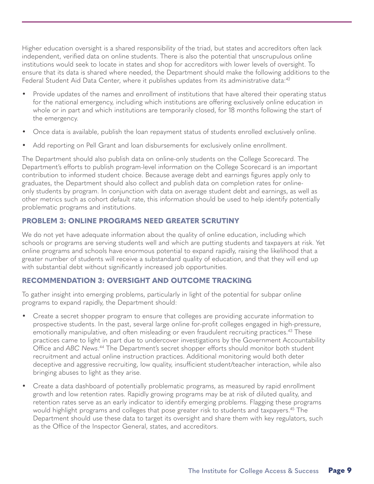Higher education oversight is a shared responsibility of the triad, but states and accreditors often lack independent, verified data on online students. There is also the potential that unscrupulous online institutions would seek to locate in states and shop for accreditors with lower levels of oversight. To ensure that its data is shared where needed, the Department should make the following additions to the Federal Student Aid Data Center, where it publishes updates from its administrative data:<sup>42</sup>

- Provide updates of the names and enrollment of institutions that have altered their operating status for the national emergency, including which institutions are offering exclusively online education in whole or in part and which institutions are temporarily closed, for 18 months following the start of the emergency.
- Once data is available, publish the loan repayment status of students enrolled exclusively online.
- Add reporting on Pell Grant and loan disbursements for exclusively online enrollment.

The Department should also publish data on online-only students on the College Scorecard. The Department's efforts to publish program-level information on the College Scorecard is an important contribution to informed student choice. Because average debt and earnings figures apply only to graduates, the Department should also collect and publish data on completion rates for onlineonly students by program. In conjunction with data on average student debt and earnings, as well as other metrics such as cohort default rate, this information should be used to help identify potentially problematic programs and institutions.

#### **PROBLEM 3: ONLINE PROGRAMS NEED GREATER SCRUTINY**

We do not yet have adequate information about the quality of online education, including which schools or programs are serving students well and which are putting students and taxpayers at risk. Yet online programs and schools have enormous potential to expand rapidly, raising the likelihood that a greater number of students will receive a substandard quality of education, and that they will end up with substantial debt without significantly increased job opportunities.

#### **RECOMMENDATION 3: OVERSIGHT AND OUTCOME TRACKING**

To gather insight into emerging problems, particularly in light of the potential for subpar online programs to expand rapidly, the Department should:

- Create a secret shopper program to ensure that colleges are providing accurate information to prospective students. In the past, several large online for-profit colleges engaged in high-pressure, emotionally manipulative, and often misleading or even fraudulent recruiting practices.<sup>43</sup> These practices came to light in part due to undercover investigations by the Government Accountability Office and *ABC News*. 44 The Department's secret shopper efforts should monitor both student recruitment and actual online instruction practices. Additional monitoring would both deter deceptive and aggressive recruiting, low quality, insufficient student/teacher interaction, while also bringing abuses to light as they arise.
- Create a data dashboard of potentially problematic programs, as measured by rapid enrollment growth and low retention rates. Rapidly growing programs may be at risk of diluted quality, and retention rates serve as an early indicator to identify emerging problems. Flagging these programs would highlight programs and colleges that pose greater risk to students and taxpayers.<sup>45</sup> The Department should use these data to target its oversight and share them with key regulators, such as the Office of the Inspector General, states, and accreditors.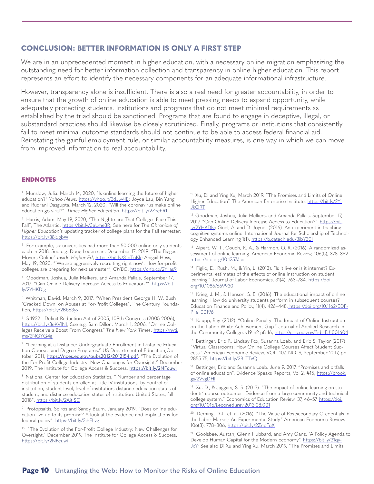#### **CONCLUSION: BETTER INFORMATION IS ONLY A FIRST STEP**

We are in an unprecedented moment in higher education, with a necessary online migration emphasizing the outstanding need for better information collection and transparency in online higher education. This report represents an effort to identify the necessary components for an adequate informational infrastructure.

However, transparency alone is insufficient. There is also a real need for greater accountability, in order to ensure that the growth of online education is able to meet pressing needs to expand opportunity, while adequately protecting students. Institutions and programs that do not meet minimal requirements as established by the triad should be sanctioned. Programs that are found to engage in deceptive, illegal, or substandard practices should likewise be closely scrutinized. Finally, programs or institutions that consistently fail to meet minimal outcome standards should not continue to be able to access federal financial aid. Reinstating the gainful employment rule, or similar accountability measures, is one way in which we can move from improved information to real accountability.

#### ENDNOTES

<sup>1</sup> Munslow, Julia. March 14, 2020, "Is online learning the future of higher education?" *Yahoo News*. https://yhoo.it/3dJw4lE; Joyce Lau, Bin Yang and Rudrani Dasgupta. March 12, 2020, "Will the coronavirus make online education go viral?", *Times Higher Education*. https://bit.ly/2ZzchR1

2 Harris, Adam. May 19, 2020, "The Nightmare That Colleges Face This Fall", The Atlantic. https://bit.ly/3eLme3R; See here for *The Chronicle of Higher Education's* updating tracker of college plans for the Fall semester: https://bit.ly/38jdgbW

<sup>3</sup> For example, six universities had more than 50,000 online-only students each in 2018. See e.g. Doug Lederman, December 17, 2019. "The Biggest Movers Online" *Inside Higher Ed*, https://bit.ly/31pTuKk; Abigail Hess, May 19, 2020. "'We are aggressively recruiting right now': How for-profit colleges are preparing for next semester", *CNBC*, https://cnb.cx/2YIlas9

4 Goodman, Joshua, Julia Melkers, and Amanda Pallais, September 17, 2017. "Can Online Delivery Increase Access to Education?". https://bit. ly/2YHKDlg

5 Whitman, David. March 9, 2017. "When President George H. W. Bush 'Cracked Down' on Abuses at For-Profit Colleges", The Century Foundation, https://bit.ly/2Bb63yx

6 S.1932 - Deficit Reduction Act of 2005, 109th Congress (2005-2006), https://bit.ly/3eKVlNI; See e.g. Sam Dillon, March 1, 2006. "Online Colleges Receive a Boost From Congress" *The New York Times*. https://nyti. ms/2NGYG4g

<sup>7</sup> "Learning at a Distance: Undergraduate Enrollment in Distance Education Courses and Degree Programs," US Department of Education,October 2011, https://nces.ed.gov/pubs2012/2012154.pdf; "The Evolution of the For-Profit College Industry: New Challenges for Oversight." December 2019. The Institute for College Access & Success. https://bit.ly/2NFcuwi

<sup>8</sup> National Center for Education Statistics, " Number and percentage distribution of students enrolled at Title IV institutions, by control of institution, student level, level of institution, distance education status of student, and distance education status of institution: United States, fall 2018". https://bit.ly/2AitlSC

9 Protopsaltis, Spiros and Sandy Baum, January 2019. "Does online education live up to its promise? A look at the evidence and implications for federal policy". https://bit.ly/3ihFLvg

<sup>10</sup> "The Evolution of the For-Profit College Industry: New Challenges for Oversight." December 2019. The Institute for College Access & Success. https://bit.ly/2NFcuwi

<sup>11</sup> Xu, Di and Ying Xu, March 2019. "The Promises and Limits of Online Higher Education". The American Enterprise Institute. https://bit.ly/2Y-**JkORT** 

<sup>12</sup> Goodman, Joshua, Julia Melkers, and Amanda Pallais, September 17, 2017. "Can Online Delivery Increase Access to Education?". https://bit. ly/2YHKDlg; Goel, A. and D. Joyner (2016). An experiment in teaching cognitive systems online. International Journal for Scholarship of Technology Enhanced Learning 1(1). https://b.gatech.edu/3ibY301

<sup>13</sup> Alpert, W. T., Couch, K. A., & Harmon, O. R. (2016). A randomized assessment of online learning. American Economic Review, 106(5), 378–382. https://doi.org/10.1257/aer

<sup>14</sup> Figlio, D., Rush, M., & Yin, L. (2013). "Is it live or is it internet? Experimental estimates of the effects of online instruction on student .<br>learning." Journal of Labor Economics, 31(4), 763–784. https://doi. org/10.1086/669930

<sup>15</sup> Krieg, J. M., & Henson, S. E. (2016). The educational impact of online learning: How do university students perform in subsequent courses? Education Finance and Policy, 11(4), 426–448. https://doi.org/10.1162/EDF-P\_a\_00196

<sup>16</sup> Kaupp, Ray. (2012). "Online Penalty: The Impact of Online Instruction on the Latino-White Achievement Gap." Journal of Applied Research in the Community College, v19 n2 p8-16, https://eric.ed.gov/?id=EJ1001604

<sup>17</sup> Bettinger, Eric P., Lindsay Fox, Susanna Loeb, and Eric S. Taylor (2017) "Virtual Classrooms: How Online College Courses Affect Student Success." American Economic Review, VOL. 107, NO. 9, September 2017, pp. 2855-75, https://bit.ly/2BLTTvQ

<sup>18</sup> Bettinger, Eric and Susanna Loeb. June 9, 2017, "Promises and pitfalls of online education", Evidence Speaks Reports, Vol 2, #15, https://brook. gs/2VvgDHl

 $19$  Xu, D., & Jaggars, S. S. (2013). "The impact of online learning on students' course outcomes: Evidence from a large community and technical college system." Economics of Education Review, 37, 46-57. https://doi. org/10.1016/j.econedurev.2013.08.001

<sup>20</sup> Deming, D.J., et. al, (2016). "The Value of Postsecondary Credentials in the Labor Market: An Experimental Study." American Economic Review, 106(3): 778–806, https://bit.ly/2ZnpFqX

<sup>21</sup> Goolsbee, Austan, Glenn Hubbard, and Amy Ganz. "A Policy Agenda to Develop Human Capital for the Modern Economy". https://bit.ly/31qy-JxY; See also Di Xu and Ying Xu. March 2019. "The Promises and Limits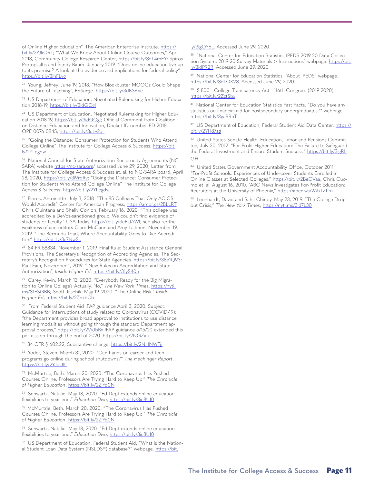of Online Higher Education". The American Enterprise Institute. https:// bit.ly/2YJkORT; "What We Know About Online Course Outcomes," April 2013, Community College Research Center, https://bit.ly/3dL4mEY; Spiros Protopsaltis and Sandy Baum. January 2019. "Does online education live up to its promise? A look at the evidence and implications for federal policy". https://bit.ly/3ihFLvg

22 Young, Jeffrey. June 19, 2018. "How Blockbuster MOOCs Could Shape the Future of Teaching", *EdSurge*. https://bit.ly/3dKS6Vc

<sup>23</sup> US Department of Education, Negotiated Rulemaking for Higher Education 2018-19, https://bit.ly/3idGCgl

<sup>24</sup> US Department of Education, Negotiated Rulemaking for Higher Education 2018-19, https://bit.ly/3idGCgl; Official Comment from Coalition on Distance Education and Innovation, Docket ID number ED-2018- OPE-0076-0845, https://bit.ly/3eLv2qr

<sup>25</sup> "Going the Distance: Consumer Protection for Students Who Attend College Online" The Institute for College Access & Success. https://bit. ly/2YLcgdw

<sup>26</sup> National Council for State Authorization Reciprocity Agreements (NC-SARA) website https://nc-sara.org/ accessed June 29, 2020; Letter from The Institute for College Access & Success et. al. to NC-SARA board, April 28, 2020, https://bit.ly/3i9rqRv; "Going the Distance: Consumer Protection for Students Who Attend College Online" The Institute for College Access & Success. https://bit.ly/2YLcgdw

<sup>27</sup> Flores, Antoinette. July 3, 2018. "The 85 Colleges That Only ACICS Would Accredit" Center for American Progress, https://ampr.gs/2BLLRT; Chris Quintana and Shelly Conlon, February 16, 2020. "This college was accredited by a DeVos-sanctioned group. We couldn't find evidence of students or faculty." USA Today. https://bit.ly/3eEUAWl; see also re: the weakness of accreditors Clare McCann and Amy Laitinen, November 19, 2019, "The Bermuda Triad, Where Accountability Goes to Die: Accreditors" https://bit.ly/3g7NwSs

28 84 FR 58834, November 1, 2019. Final Rule: Student Assistance General Provisions, The Secretary's Recognition of Accrediting Agencies, The Secretary's Recognition Procedures for State Agencies. https://bit.ly/38e1Q93; Paul Fain, November 1, 2019. " New Rules on Accreditation and State Authorization", *Inside Higher Ed*. https://bit.ly/31yS40h

<sup>29</sup> Carey, Kevin. March 13, 2020, "Everybody Ready for the Big Migration to Online College? Actually, No," *The New York Times*, https://nyti. ms/31ESGBB; Scott Jaschik. May 19, 2020. "The Online Risk," *Inside Higher Ed*, https://bit.ly/2ZnxbCb

<sup>30</sup> From Federal Student Aid IFAP guidance April 3, 2020. Subject: Guidance for interruptions of study related to Coronavirus (COVID-19): "the Department provides broad approval to institutions to use distance learning modalities without going through the standard Department approval process," https://bit.ly/2VsJbBx IFAP guidance 5/15/20 extended this permission through the end of 2020. https://bit.ly/2NGZari

31 34 CFR § 602.22, Substantive change, https://bit.ly/2NHNWTg

<sup>32</sup> Yoder, Steven. March 31, 2020. "Can hands-on career and tech programs go online during school shutdowns?" *The Hechinger Report*, https://bit.ly/2YJuUlL

33 McMurtrie, Beth. March 20, 2020. "The Coronavirus Has Pushed Courses Online. Professors Are Trying Hard to Keep Up." *The Chronicle of Higher Education*. https://bit.ly/2ZiYq0N

34 Schwartz, Natalie. May 18, 2020. "Ed Dept extends online education flexibilities to year end," Education Dive, https://bit.ly/3ic8UI0

<sup>35</sup> McMurtrie, Beth. March 20, 2020. "The Coronavirus Has Pushed Courses Online. Professors Are Trying Hard to Keep Up." *The Chronicle of Higher Education*. https://bit.ly/2ZiYq0N

36 Schwartz, Natalie. May 18, 2020. "Ed Dept extends online education flexibilities to year end," Education Dive, https://bit.ly/3ic8UI0

<sup>37</sup> US Department of Education, Federal Student Aid, "What is the National Student Loan Data System (NSLDS®) database?" webpage. https://bit.

#### ly/3igOY6L. Accessed June 29, 2020.

<sup>38</sup> "National Center for Education Statistics IPEDS 2019-20 Data Collection System, 2019-20 Survey Materials > Instructions" webpage. https://bit. ly/3idP92R. Accessed June 29, 2020.

<sup>39</sup> National Center for Education Statistics, "About IPEDS" webpage. https://bit.ly/3dLOXV3. Accessed June 29, 2020.

40 S.800 - College Transparency Act - 116th Congress (2019-2020). https://bit.ly/2ZztSbx

41 National Center for Education Statistics Fast Facts. "Do you have any statistics on financial aid for postsecondary undergraduates?" webpage. https://bit.ly/3gaRRnT

42 US Department of Education, Federal Student Aid Data Center. https:// bit.ly/2YH87ag

43 United States Senate Health, Education, Labor and Pensions Committee, July 30, 2012. "For Profit Higher Education: The Failure to Safeguard the Federal Investment and Ensure Student Success." https://bit.ly/3igRl-**GH** 

44 United States Government Accountability Office, October 2011. "For-Profit Schools: Experiences of Undercover Students Enrolled in Online Classes at Selected Colleges." https://bit.ly/2BeGVaa; Chris Cuomo et. al. August 16, 2010. "ABC News Investigates For-Profit Education: Recruiters at the University of Phoenix," https://abcn.ws/2AhTZLm

45 Leonhardt, David and Sahil Chinoy. May 23, 2019. "The College Dropout Crisis," *The New York Times*, https://nyti.ms/3id7L30